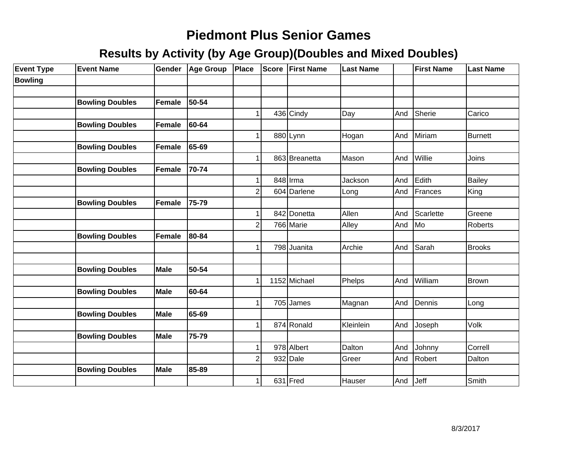| <b>Event Type</b> | <b>Event Name</b>      | Gender        | <b>Age Group</b> | Place          | <b>Score</b> | <b>First Name</b> | <b>Last Name</b> |     | <b>First Name</b> | <b>Last Name</b> |
|-------------------|------------------------|---------------|------------------|----------------|--------------|-------------------|------------------|-----|-------------------|------------------|
| <b>Bowling</b>    |                        |               |                  |                |              |                   |                  |     |                   |                  |
|                   |                        |               |                  |                |              |                   |                  |     |                   |                  |
|                   | <b>Bowling Doubles</b> | Female        | 50-54            |                |              |                   |                  |     |                   |                  |
|                   |                        |               |                  |                |              | 436 Cindy         | Day              | And | Sherie            | Carico           |
|                   | <b>Bowling Doubles</b> | <b>Female</b> | 60-64            |                |              |                   |                  |     |                   |                  |
|                   |                        |               |                  |                |              | 880 Lynn          | Hogan            | And | Miriam            | <b>Burnett</b>   |
|                   | <b>Bowling Doubles</b> | Female        | 65-69            |                |              |                   |                  |     |                   |                  |
|                   |                        |               |                  |                |              | 863 Breanetta     | Mason            | And | Willie            | Joins            |
|                   | <b>Bowling Doubles</b> | Female        | 70-74            |                |              |                   |                  |     |                   |                  |
|                   |                        |               |                  |                |              | 848 Irma          | Jackson          | And | Edith             | <b>Bailey</b>    |
|                   |                        |               |                  | $\overline{2}$ |              | 604 Darlene       | Long             | And | Frances           | King             |
|                   | <b>Bowling Doubles</b> | Female        | 75-79            |                |              |                   |                  |     |                   |                  |
|                   |                        |               |                  | 1              |              | 842 Donetta       | Allen            | And | Scarlette         | Greene           |
|                   |                        |               |                  | $\overline{2}$ |              | 766 Marie         | Alley            | And | Mo                | <b>Roberts</b>   |
|                   | <b>Bowling Doubles</b> | Female        | 80-84            |                |              |                   |                  |     |                   |                  |
|                   |                        |               |                  | $\mathbf 1$    |              | 798 Juanita       | Archie           | And | Sarah             | <b>Brooks</b>    |
|                   |                        |               |                  |                |              |                   |                  |     |                   |                  |
|                   | <b>Bowling Doubles</b> | <b>Male</b>   | 50-54            |                |              |                   |                  |     |                   |                  |
|                   |                        |               |                  | 1              |              | 1152 Michael      | Phelps           | And | William           | Brown            |
|                   | <b>Bowling Doubles</b> | <b>Male</b>   | 60-64            |                |              |                   |                  |     |                   |                  |
|                   |                        |               |                  | 1              |              | 705 James         | Magnan           | And | Dennis            | Long             |
|                   | <b>Bowling Doubles</b> | <b>Male</b>   | 65-69            |                |              |                   |                  |     |                   |                  |
|                   |                        |               |                  | 1              |              | 874 Ronald        | Kleinlein        | And | Joseph            | Volk             |
|                   | <b>Bowling Doubles</b> | <b>Male</b>   | 75-79            |                |              |                   |                  |     |                   |                  |
|                   |                        |               |                  | $\mathbf{1}$   |              | 978 Albert        | Dalton           | And | Johnny            | Correll          |
|                   |                        |               |                  | $\overline{2}$ |              | 932 Dale          | Greer            | And | Robert            | Dalton           |
|                   | <b>Bowling Doubles</b> | <b>Male</b>   | 85-89            |                |              |                   |                  |     |                   |                  |
|                   |                        |               |                  | 1              |              | $631$ Fred        | Hauser           | And | Jeff              | Smith            |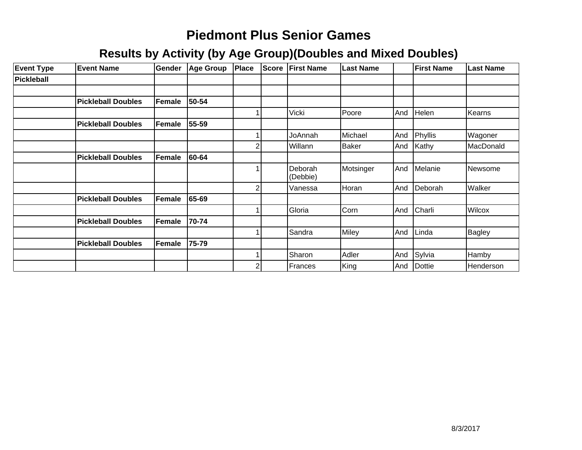| <b>Event Type</b> | <b>Event Name</b>         | <b>Gender</b> | <b>Age Group</b> | Place | <b>Score</b> | <b>First Name</b>   | <b>Last Name</b> |     | <b>First Name</b> | <b>Last Name</b> |
|-------------------|---------------------------|---------------|------------------|-------|--------------|---------------------|------------------|-----|-------------------|------------------|
| Pickleball        |                           |               |                  |       |              |                     |                  |     |                   |                  |
|                   |                           |               |                  |       |              |                     |                  |     |                   |                  |
|                   | <b>Pickleball Doubles</b> | Female        | 50-54            |       |              |                     |                  |     |                   |                  |
|                   |                           |               |                  |       |              | Vicki               | Poore            | And | Helen             | Kearns           |
|                   | <b>Pickleball Doubles</b> | Female        | 55-59            |       |              |                     |                  |     |                   |                  |
|                   |                           |               |                  |       |              | JoAnnah             | Michael          | And | Phyllis           | Wagoner          |
|                   |                           |               |                  | 2     |              | Willann             | <b>Baker</b>     | And | Kathy             | MacDonald        |
|                   | <b>Pickleball Doubles</b> | Female        | 60-64            |       |              |                     |                  |     |                   |                  |
|                   |                           |               |                  |       |              | Deborah<br>(Debbie) | Motsinger        | And | Melanie           | Newsome          |
|                   |                           |               |                  | 2     |              | Vanessa             | Horan            | And | Deborah           | Walker           |
|                   | <b>Pickleball Doubles</b> | Female        | 65-69            |       |              |                     |                  |     |                   |                  |
|                   |                           |               |                  |       |              | Gloria              | Corn             | And | Charli            | Wilcox           |
|                   | <b>Pickleball Doubles</b> | Female        | 70-74            |       |              |                     |                  |     |                   |                  |
|                   |                           |               |                  |       |              | Sandra              | Miley            | And | Linda             | <b>Bagley</b>    |
|                   | <b>Pickleball Doubles</b> | Female        | 75-79            |       |              |                     |                  |     |                   |                  |
|                   |                           |               |                  |       |              | Sharon              | Adler            | And | Sylvia            | Hamby            |
|                   |                           |               |                  | 2     |              | Frances             | King             | And | Dottie            | Henderson        |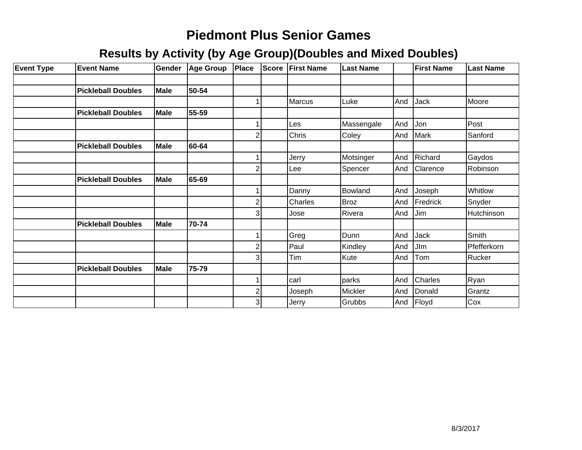| <b>Event Type</b> | <b>Event Name</b>         | Gender      | <b>Age Group</b> | Place                   | <b>Score</b> | <b>First Name</b> | <b>Last Name</b> |     | <b>First Name</b> | Last Name   |
|-------------------|---------------------------|-------------|------------------|-------------------------|--------------|-------------------|------------------|-----|-------------------|-------------|
|                   |                           |             |                  |                         |              |                   |                  |     |                   |             |
|                   | <b>Pickleball Doubles</b> | <b>Male</b> | 50-54            |                         |              |                   |                  |     |                   |             |
|                   |                           |             |                  |                         |              | <b>Marcus</b>     | Luke             | And | <b>Jack</b>       | Moore       |
|                   | <b>Pickleball Doubles</b> | <b>Male</b> | 55-59            |                         |              |                   |                  |     |                   |             |
|                   |                           |             |                  |                         |              | Les               | Massengale       | And | Jon               | Post        |
|                   |                           |             |                  | $\overline{\mathbf{c}}$ |              | Chris             | Coley            | And | Mark              | Sanford     |
|                   | <b>Pickleball Doubles</b> | <b>Male</b> | 60-64            |                         |              |                   |                  |     |                   |             |
|                   |                           |             |                  |                         |              | Jerry             | Motsinger        | And | Richard           | Gaydos      |
|                   |                           |             |                  | $\overline{2}$          |              | Lee               | Spencer          | And | Clarence          | Robinson    |
|                   | <b>Pickleball Doubles</b> | Male        | 65-69            |                         |              |                   |                  |     |                   |             |
|                   |                           |             |                  |                         |              | Danny             | Bowland          | And | Joseph            | Whitlow     |
|                   |                           |             |                  | $\overline{\mathbf{c}}$ |              | Charles           | <b>Broz</b>      | And | Fredrick          | Snyder      |
|                   |                           |             |                  | $\overline{3}$          |              | Jose              | Rivera           | And | <b>Jim</b>        | Hutchinson  |
|                   | <b>Pickleball Doubles</b> | <b>Male</b> | 70-74            |                         |              |                   |                  |     |                   |             |
|                   |                           |             |                  | 1                       |              | Greg              | Dunn             | And | <b>Jack</b>       | Smith       |
|                   |                           |             |                  | $\overline{\mathbf{c}}$ |              | Paul              | Kindley          | And | JIm               | Pfefferkorn |
|                   |                           |             |                  | 3                       |              | Tim               | Kute             | And | Tom               | Rucker      |
|                   | <b>Pickleball Doubles</b> | <b>Male</b> | 75-79            |                         |              |                   |                  |     |                   |             |
|                   |                           |             |                  |                         |              | carl              | parks            | And | <b>Charles</b>    | Ryan        |
|                   |                           |             |                  | $\overline{\mathbf{c}}$ |              | Joseph            | Mickler          | And | Donald            | Grantz      |
|                   |                           |             |                  | $\overline{3}$          |              | Jerry             | Grubbs           | And | Floyd             | Cox         |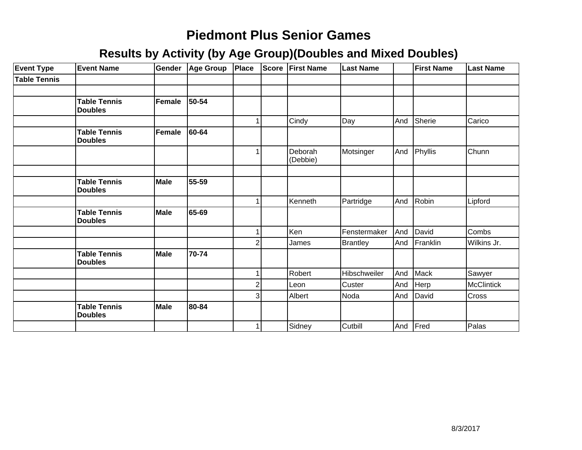| <b>Event Type</b>   | <b>Event Name</b>                     | <b>Gender</b> | Age Group | Place                   | <b>Score First Name</b> | <b>Last Name</b> |     | <b>First Name</b> | <b>Last Name</b> |
|---------------------|---------------------------------------|---------------|-----------|-------------------------|-------------------------|------------------|-----|-------------------|------------------|
| <b>Table Tennis</b> |                                       |               |           |                         |                         |                  |     |                   |                  |
|                     |                                       |               |           |                         |                         |                  |     |                   |                  |
|                     | <b>Table Tennis</b><br><b>Doubles</b> | Female        | 50-54     |                         |                         |                  |     |                   |                  |
|                     |                                       |               |           | 1                       | Cindy                   | Day              | And | Sherie            | Carico           |
|                     | <b>Table Tennis</b><br><b>Doubles</b> | Female        | 60-64     |                         |                         |                  |     |                   |                  |
|                     |                                       |               |           | 1                       | Deborah<br>(Debbie)     | Motsinger        |     | And Phyllis       | Chunn            |
|                     |                                       |               |           |                         |                         |                  |     |                   |                  |
|                     | <b>Table Tennis</b><br><b>Doubles</b> | Male          | 55-59     |                         |                         |                  |     |                   |                  |
|                     |                                       |               |           | 1                       | Kenneth                 | Partridge        | And | Robin             | Lipford          |
|                     | <b>Table Tennis</b><br><b>Doubles</b> | Male          | 65-69     |                         |                         |                  |     |                   |                  |
|                     |                                       |               |           | 1                       | Ken                     | Fenstermaker     |     | And David         | Combs            |
|                     |                                       |               |           | $\mathbf{2}$            | James                   | <b>Brantley</b>  |     | And Franklin      | Wilkins Jr.      |
|                     | <b>Table Tennis</b><br><b>Doubles</b> | Male          | 70-74     |                         |                         |                  |     |                   |                  |
|                     |                                       |               |           | 1                       | Robert                  | Hibschweiler     | And | Mack              | Sawyer           |
|                     |                                       |               |           | $\overline{\mathbf{c}}$ | Leon                    | Custer           |     | And Herp          | McClintick       |
|                     |                                       |               |           | $\overline{3}$          | Albert                  | Noda             |     | And David         | Cross            |
|                     | <b>Table Tennis</b><br><b>Doubles</b> | Male          | 80-84     |                         |                         |                  |     |                   |                  |
|                     |                                       |               |           | 1 <sup>1</sup>          | Sidney                  | Cutbill          |     | And Fred          | Palas            |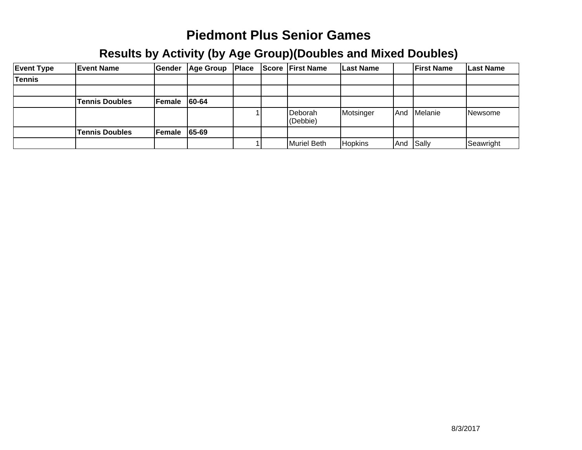| <b>Event Type</b> | <b>Event Name</b>     | <b>Gender</b> | Age Group | Place | <b>Score First Name</b> | <b>Last Name</b> |     | <b>IFirst Name</b> | <b>Last Name</b> |
|-------------------|-----------------------|---------------|-----------|-------|-------------------------|------------------|-----|--------------------|------------------|
| Tennis            |                       |               |           |       |                         |                  |     |                    |                  |
|                   |                       |               |           |       |                         |                  |     |                    |                  |
|                   | <b>Tennis Doubles</b> | Female        | 60-64     |       |                         |                  |     |                    |                  |
|                   |                       |               |           |       | Deborah<br>(Debbie)     | Motsinger        | And | <b>Melanie</b>     | INewsome         |
|                   | <b>Tennis Doubles</b> | Female 65-69  |           |       |                         |                  |     |                    |                  |
|                   |                       |               |           |       | Muriel Beth             | <b>Hopkins</b>   |     | And Sally          | Seawright        |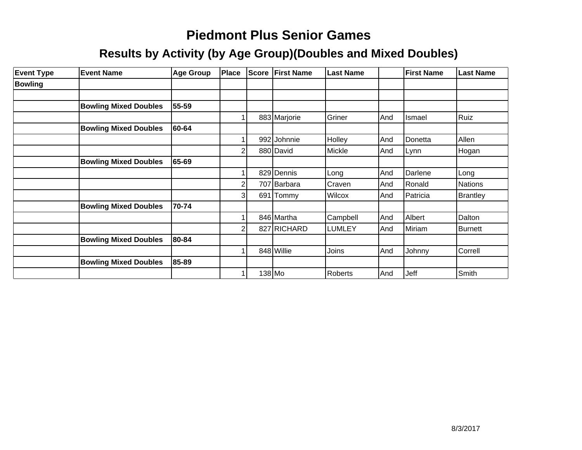| <b>Event Type</b> | <b>Event Name</b>            | Age Group | Place | Score | <b>First Name</b> | <b>Last Name</b> |     | <b>First Name</b> | <b>Last Name</b> |
|-------------------|------------------------------|-----------|-------|-------|-------------------|------------------|-----|-------------------|------------------|
| <b>Bowling</b>    |                              |           |       |       |                   |                  |     |                   |                  |
|                   |                              |           |       |       |                   |                  |     |                   |                  |
|                   | <b>Bowling Mixed Doubles</b> | 55-59     |       |       |                   |                  |     |                   |                  |
|                   |                              |           |       |       | 883 Marjorie      | Griner           | And | Ismael            | Ruiz             |
|                   | <b>Bowling Mixed Doubles</b> | 60-64     |       |       |                   |                  |     |                   |                  |
|                   |                              |           |       |       | 992 Johnnie       | Holley           | And | Donetta           | Allen            |
|                   |                              |           |       |       | 880 David         | Mickle           | And | Lynn              | <b>Hogan</b>     |
|                   | <b>Bowling Mixed Doubles</b> | 65-69     |       |       |                   |                  |     |                   |                  |
|                   |                              |           |       |       | 829 Dennis        | Long             | And | Darlene           | Long             |
|                   |                              |           |       |       | 707 Barbara       | Craven           | And | Ronald            | Nations          |
|                   |                              |           | 31    |       | 691 Tommy         | <b>Wilcox</b>    | And | Patricia          | Brantley         |
|                   | <b>Bowling Mixed Doubles</b> | 70-74     |       |       |                   |                  |     |                   |                  |
|                   |                              |           |       |       | 846 Martha        | Campbell         | And | Albert            | Dalton           |
|                   |                              |           |       |       | 827 RICHARD       | <b>LUMLEY</b>    | And | Miriam            | <b>Burnett</b>   |
|                   | <b>Bowling Mixed Doubles</b> | 80-84     |       |       |                   |                  |     |                   |                  |
|                   |                              |           |       |       | 848 Willie        | Joins            | And | Johnny            | Correll          |
|                   | <b>Bowling Mixed Doubles</b> | 85-89     |       |       |                   |                  |     |                   |                  |
|                   |                              |           |       |       | $138$ Mo          | <b>Roberts</b>   | And | Jeff              | Smith            |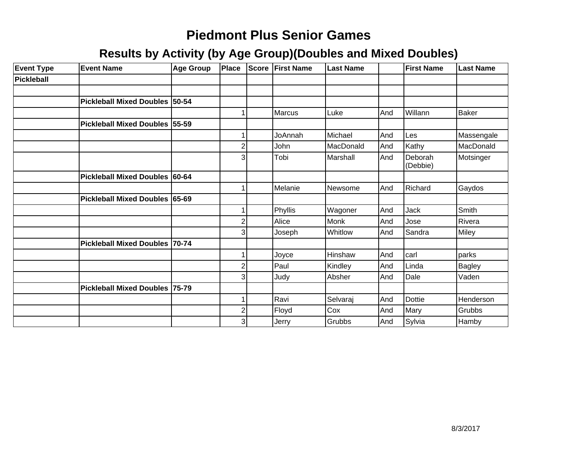| <b>Event Type</b> | <b>Event Name</b>               | Age Group | Place          | Score | <b>First Name</b> | <b>Last Name</b> |     | <b>First Name</b>   | <b>Last Name</b> |
|-------------------|---------------------------------|-----------|----------------|-------|-------------------|------------------|-----|---------------------|------------------|
| Pickleball        |                                 |           |                |       |                   |                  |     |                     |                  |
|                   |                                 |           |                |       |                   |                  |     |                     |                  |
|                   | Pickleball Mixed Doubles 50-54  |           |                |       |                   |                  |     |                     |                  |
|                   |                                 |           |                |       | <b>Marcus</b>     | Luke             | And | Willann             | <b>Baker</b>     |
|                   | Pickleball Mixed Doubles 55-59  |           |                |       |                   |                  |     |                     |                  |
|                   |                                 |           |                |       | JoAnnah           | Michael          | And | Les                 | Massengale       |
|                   |                                 |           | 2              |       | John              | MacDonald        | And | Kathy               | MacDonald        |
|                   |                                 |           | 3              |       | Tobi              | Marshall         | And | Deborah<br>(Debbie) | Motsinger        |
|                   | <b>Pickleball Mixed Doubles</b> | 60-64     |                |       |                   |                  |     |                     |                  |
|                   |                                 |           |                |       | Melanie           | Newsome          | And | Richard             | Gaydos           |
|                   | Pickleball Mixed Doubles 65-69  |           |                |       |                   |                  |     |                     |                  |
|                   |                                 |           |                |       | Phyllis           | Wagoner          | And | Jack                | Smith            |
|                   |                                 |           | 2              |       | Alice             | Monk             | And | Jose                | Rivera           |
|                   |                                 |           | 3              |       | Joseph            | Whitlow          | And | Sandra              | Miley            |
|                   | Pickleball Mixed Doubles 70-74  |           |                |       |                   |                  |     |                     |                  |
|                   |                                 |           |                |       | Joyce             | Hinshaw          | And | carl                | parks            |
|                   |                                 |           | 2              |       | Paul              | Kindley          | And | Linda               | Bagley           |
|                   |                                 |           | 3              |       | Judy              | Absher           | And | Dale                | Vaden            |
|                   | Pickleball Mixed Doubles 75-79  |           |                |       |                   |                  |     |                     |                  |
|                   |                                 |           |                |       | Ravi              | Selvaraj         | And | <b>Dottie</b>       | Henderson        |
|                   |                                 |           | $\overline{2}$ |       | Floyd             | Cox              | And | Mary                | Grubbs           |
|                   |                                 |           | 3              |       | Jerry             | Grubbs           | And | Sylvia              | Hamby            |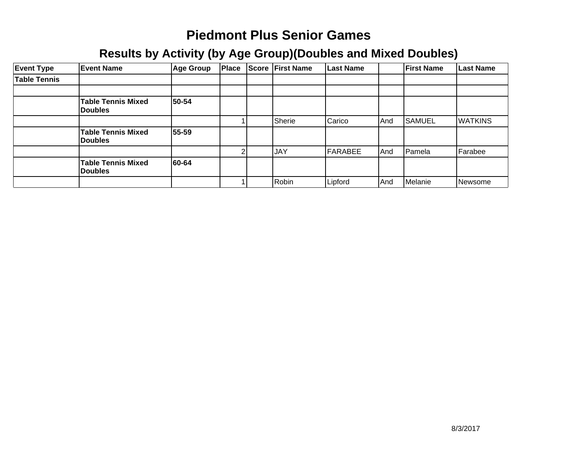| <b>Event Type</b>   | <b>Event Name</b>                           | <b>Age Group</b> | Place | <b>Score</b> | <b>First Name</b> | <b>Last Name</b> |       | <b>First Name</b> | <b>Last Name</b> |
|---------------------|---------------------------------------------|------------------|-------|--------------|-------------------|------------------|-------|-------------------|------------------|
| <b>Table Tennis</b> |                                             |                  |       |              |                   |                  |       |                   |                  |
|                     |                                             |                  |       |              |                   |                  |       |                   |                  |
|                     | <b>Table Tennis Mixed</b><br><b>Doubles</b> | 50-54            |       |              |                   |                  |       |                   |                  |
|                     |                                             |                  |       |              | Sherie            | Carico           | l And | <b>SAMUEL</b>     | <b>WATKINS</b>   |
|                     | <b>Table Tennis Mixed</b><br><b>Doubles</b> | 55-59            |       |              |                   |                  |       |                   |                  |
|                     |                                             |                  |       |              | <b>JAY</b>        | FARABEE          | And   | Pamela            | Farabee          |
|                     | <b>Table Tennis Mixed</b><br><b>Doubles</b> | 60-64            |       |              |                   |                  |       |                   |                  |
|                     |                                             |                  |       |              | Robin             | Lipford          | And   | Melanie           | Newsome          |